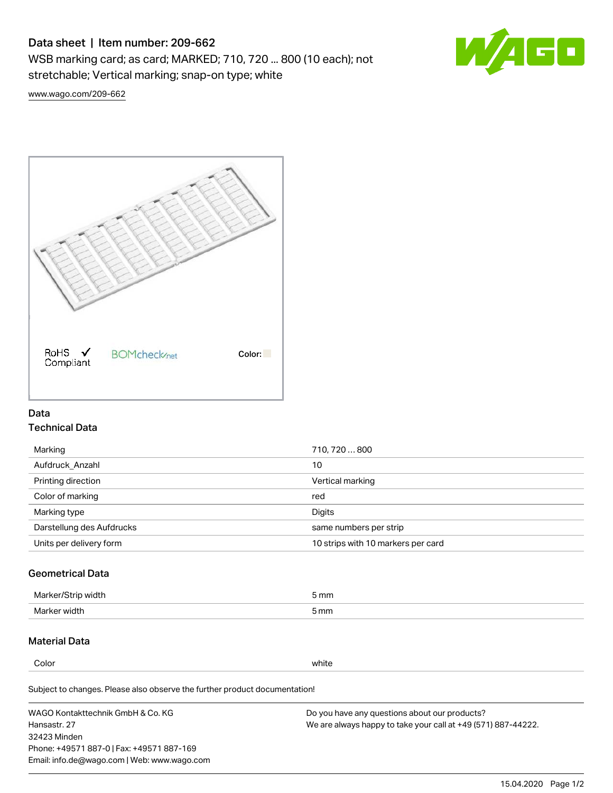# Data sheet | Item number: 209-662

WSB marking card; as card; MARKED; 710, 720 ... 800 (10 each); not stretchable; Vertical marking; snap-on type; white



[www.wago.com/209-662](http://www.wago.com/209-662)



## Data Technical Data

| Marking                   | 710, 720800                        |
|---------------------------|------------------------------------|
| Aufdruck Anzahl           | 10                                 |
| Printing direction        | Vertical marking                   |
| Color of marking          | red                                |
| Marking type              | Digits                             |
| Darstellung des Aufdrucks | same numbers per strip             |
| Units per delivery form   | 10 strips with 10 markers per card |

## Geometrical Data

| طلقاء ئ<br><b>Marker</b><br>widtr | ັກmm |
|-----------------------------------|------|
| Marker width                      | 5 mm |

## Material Data

Color white

Subject to changes. Please also observe the further product documentation!

WAGO Kontakttechnik GmbH & Co. KG Hansastr. 27 32423 Minden Phone: +49571 887-0 | Fax: +49571 887-169 Email: info.de@wago.com | Web: www.wago.com Do you have any questions about our products? We are always happy to take your call at +49 (571) 887-44222.